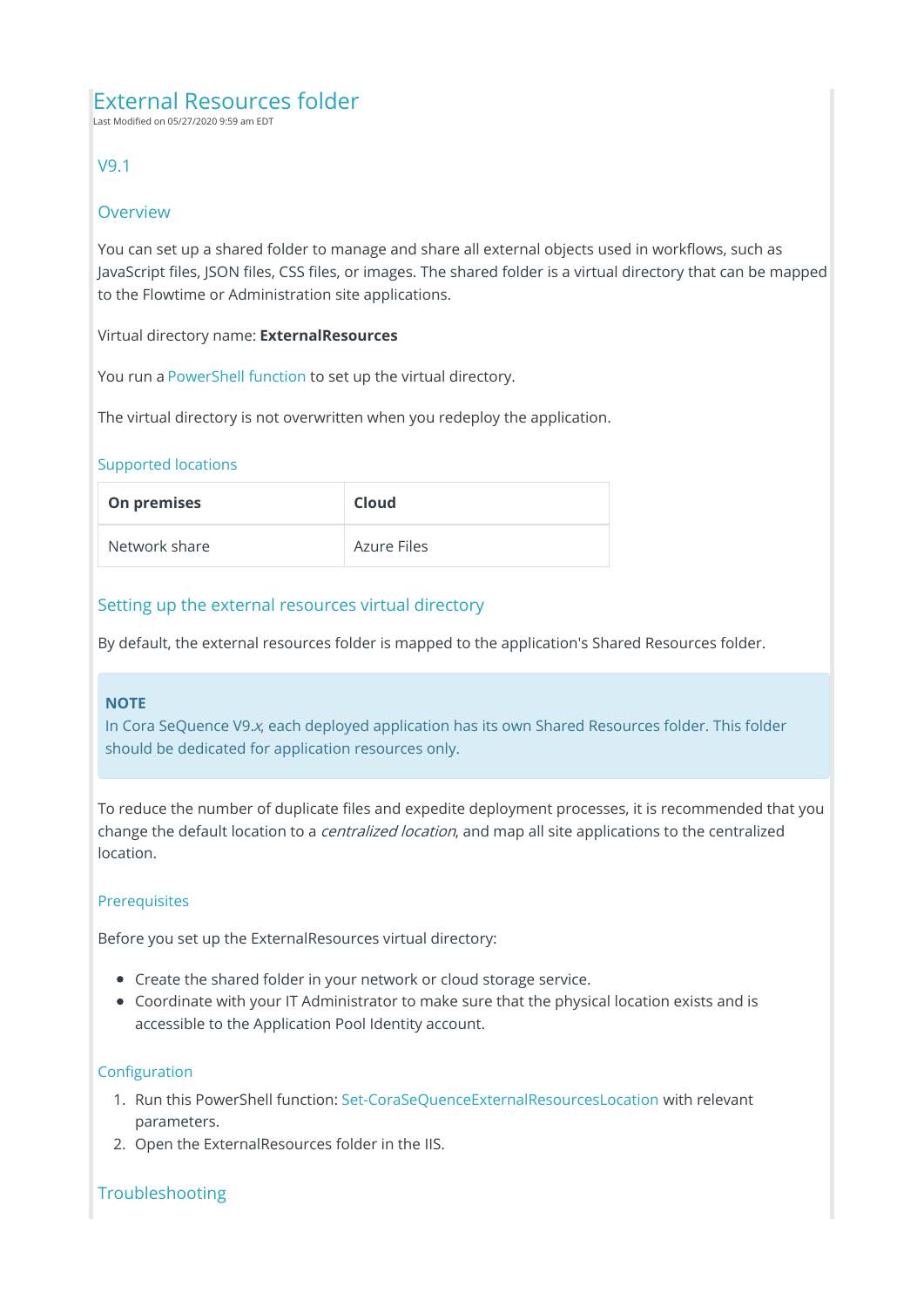# External Resources folder

Last Modified on 05/27/2020 9:59 am EDT

## V9.1

## Overview

You can set up a shared folder to manage and share all external objects used in workflows, such as JavaScript files, JSON files, CSS files, or images. The shared folder is a virtual directory that can be mapped to the Flowtime or Administration site applications.

#### Virtual directory name: **ExternalResources**

You run a PowerShell function to set up the virtual directory.

The virtual directory is not overwritten when you redeploy the application.

#### Supported locations

| On premises   | Cloud       |
|---------------|-------------|
| Network share | Azure Files |

## Setting up the external resources virtual directory

By default, the external resources folder is mapped to the application's Shared Resources folder.

#### **NOTE**

In Cora SeQuence V9.x, each deployed application has its own Shared Resources folder. This folder should be dedicated for application resources only.

To reduce the number of duplicate files and expedite deployment processes, it is recommended that you change the default location to a *centralized location*, and map all site applications to the centralized location.

## **Prerequisites**

Before you set up the ExternalResources virtual directory:

- Create the shared folder in your network or cloud storage service.
- Coordinate with your IT Administrator to make sure that the physical location exists and is accessible to the Application Pool Identity account.

## Configuration

- 1. Run this PowerShell function: Set-CoraSeQuenceExternalResourcesLocation with relevant parameters.
- 2. Open the ExternalResources folder in the IIS.

# **Troubleshooting**